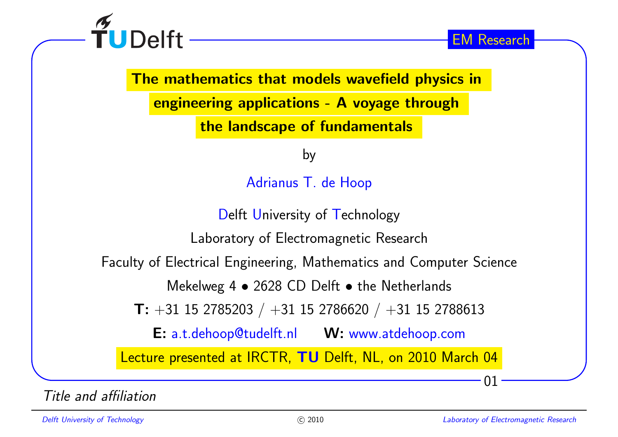

The mathematics that models wavefield physics in

engineering applications - <sup>A</sup> voyage through

the landscape of fundamentals

by

Adrianus T. de Hoop

Delft University of Technology

Laboratory of Electromagnetic Research

Faculty of Electrical Engineering, Mathematics and Computer Science

Mekelweg 4 • 2628 CD Delft • the Netherlands

 $\textsf{ T: } +31 \; 15 \; 2785203 \; / \; +31 \; 15 \; 2786620 \; / \; +31 \; 15 \; 2788613$ 

E: a.t.dehoop@tudelft.nl W: www.atdehoop.com

Lecture presented at IRCTR, TU Delft, NL, on 2010 March 04

Title and affiliation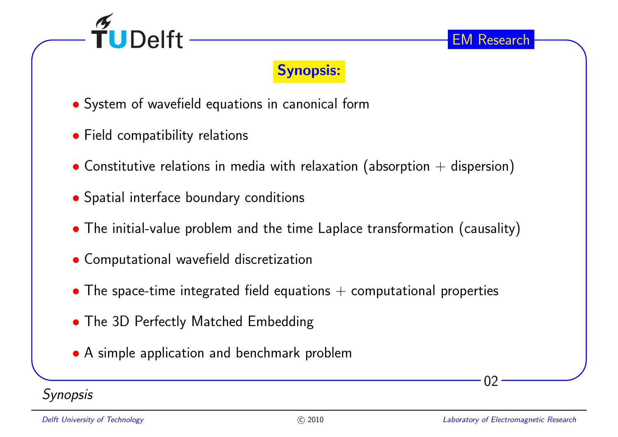

## Synopsis:

- ∙ System of wavefield equations in canonical form
- ∙ Field compatibility relations
- $\bullet$  Constitutive relations in media with relaxation (absorption  $+$  dispersion)
- ∙ Spatial interface boundary conditions
- ∙ The initial-value problem and the time Laplace transformation (causality)
- ∙ Computational wavefield discretization
- $\bullet$  The space-time integrated field equations  $+$  computational properties
- ∙ The 3D Perfectly Matched Embedding
- ∙ <sup>A</sup> simple application and benchmark problem

**Synopsis**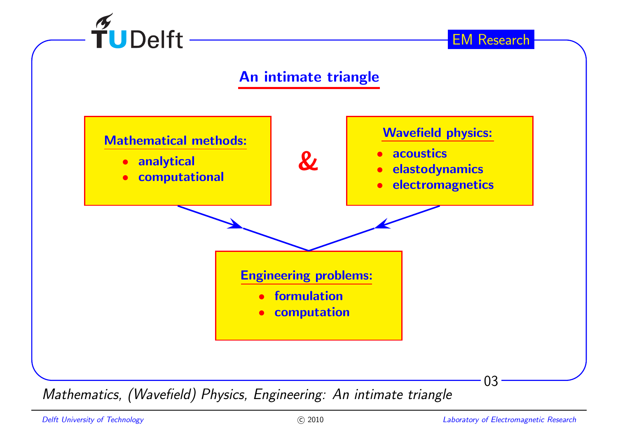

#### An intimate triangle



Mathematics, (Wavefield) Physics, Engineering: An intimate triangle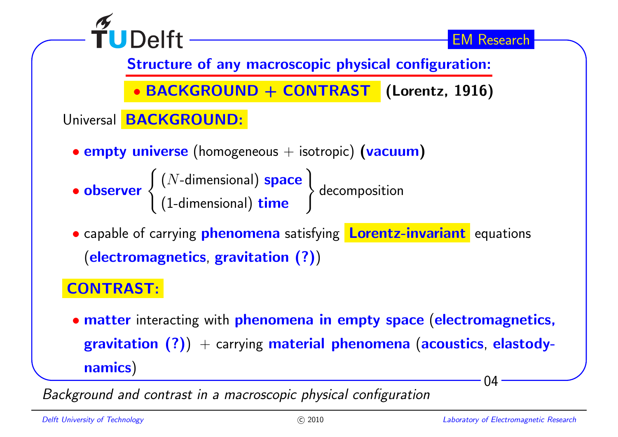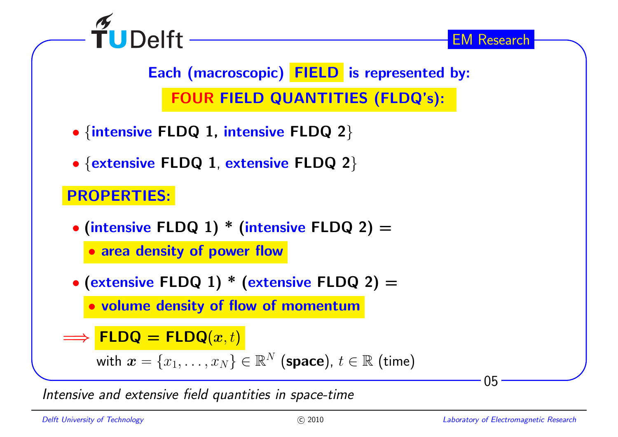

Each (macroscopic) FIELD is represented by: FOUR FIELD QUANTITIES (FLDQ's):

- ∙ {intensive FLDQ 1, intensive FLDQ <sup>2</sup>}
- ∙ {extensive FLDQ <sup>1</sup>, extensive FLDQ <sup>2</sup>}

# PROPERTIES:

- ∙ (intensive FLDQ 1) \* (intensive FLDQ 2) <sup>=</sup>
	- ∙ area density of power flow
- ∙ (extensive FLDQ 1) \* (extensive FLDQ 2) <sup>=</sup>

∙volume density of flow of momentum

```
=⇒FLDQ = FLDQ(x, t)
```
with 
$$
x = \{x_1, \ldots, x_N\} \in \mathbb{R}^N
$$
 (space),  $t \in \mathbb{R}$  (time)

Intensive and extensive field quantities in space-time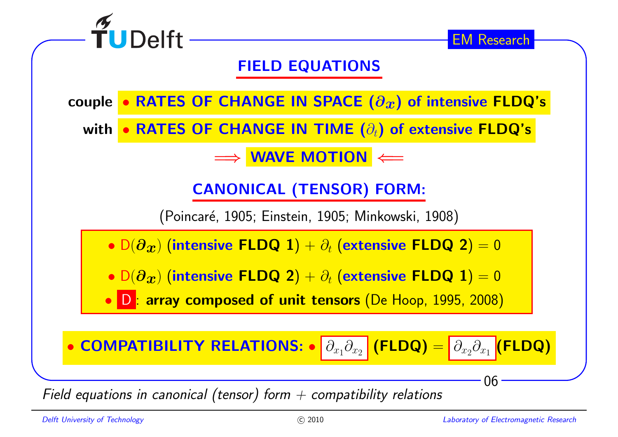

Field equations in canonical (tensor) form  $+$  compatibility relations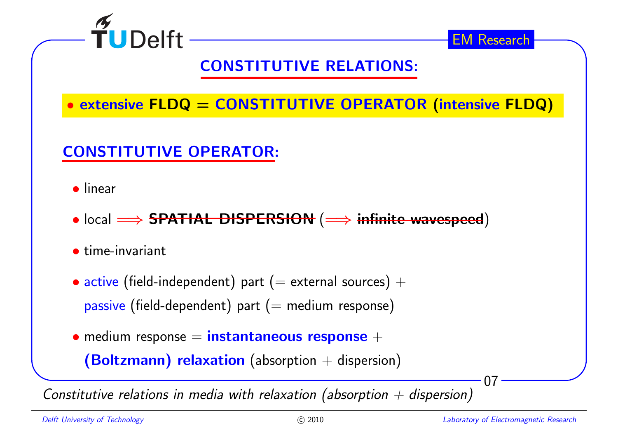![](_page_6_Picture_0.jpeg)

# CONSTITUTIVE RELATIONS:

∙ extensive FLDQ <sup>=</sup> CONSTITUTIVE OPERATOR (intensive FLDQ)

# CONSTITUTIVE OPERATOR:

- ∙ linear
- local <del>=⇒ SPATIAL DISPERSION</del> (<del>= > infinite wavespeed</del>)
- ∙ time-invariant
- $\bullet$  active (field-independent) part ( $=$  external sources)  $+$  $\mathsf{passive}\;(\mathsf{field}\text{-}\mathsf{dependent})$  part  $(=\mathsf{medium}\; \mathsf{response})$
- medium response = instantaneous response +

 $\bm{(Boltzmann)}$  relaxation  $($ absorption  $+$  dispersion $)$ 

Constitutive relations in media with relaxation (absorption  $+$  dispersion)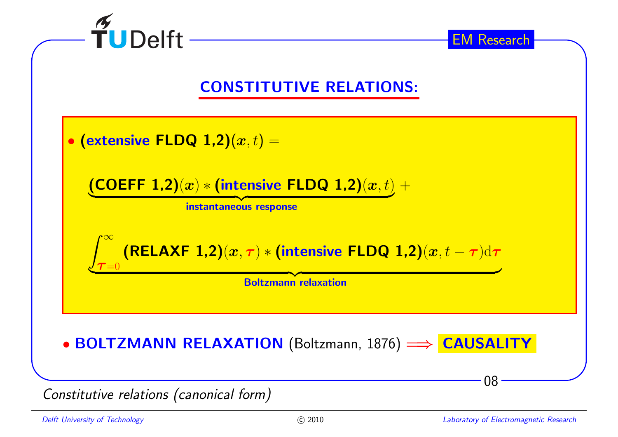![](_page_7_Figure_0.jpeg)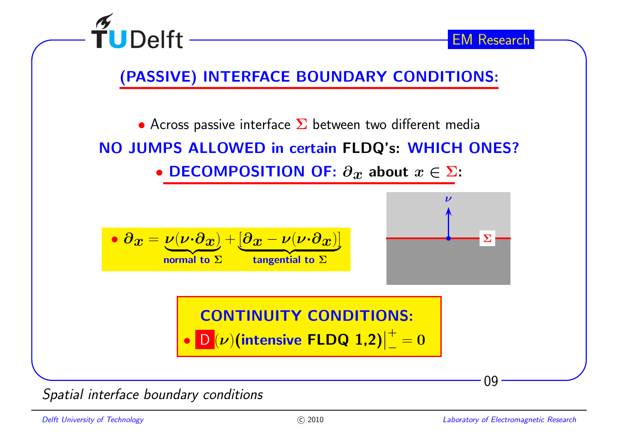![](_page_8_Figure_0.jpeg)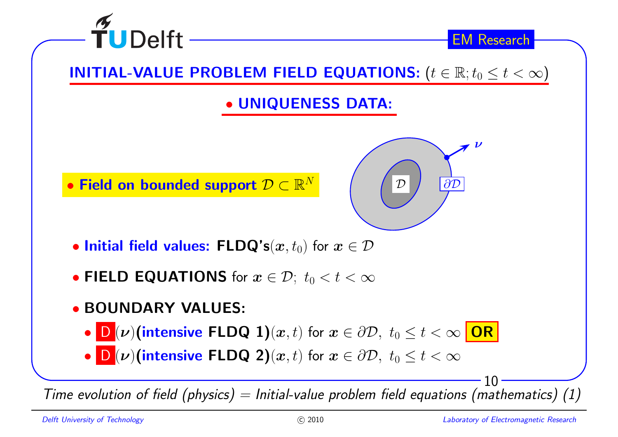![](_page_9_Figure_0.jpeg)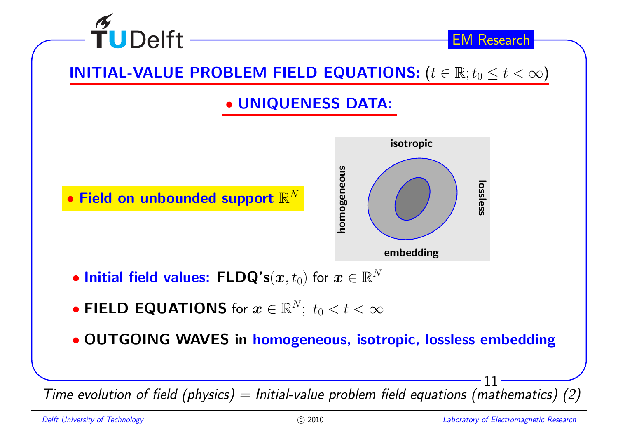![](_page_10_Figure_0.jpeg)

Time evolution of field (physics)  $=$  Initial-value problem field equations (mathematics) (2)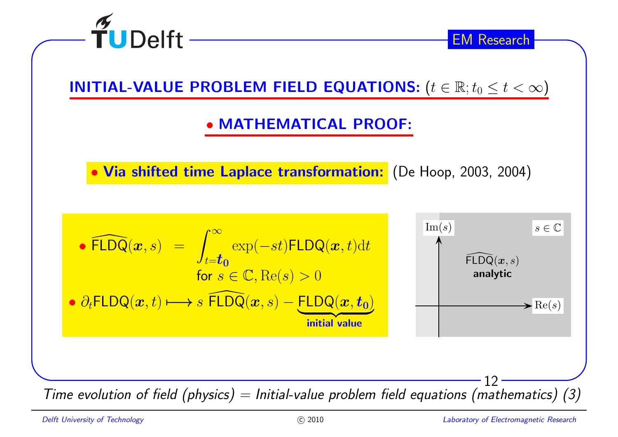![](_page_11_Picture_0.jpeg)

INITIAL-VALUE PROBLEM FIELD EQUATIONS:  $(t \in \mathbb{R}; t_0 \leq t < \infty)$ 

∙ MATHEMATICAL PROOF:

∙ Via shifted time Laplace transformation: (De Hoop, 2003, 2004)

From the evolution of field (physics) = 
$$
\begin{array}{rcl}\n\text{FLDQ}(x, s) & = & \int_{t=t_0}^{\infty} \exp(-st) \text{FLDQ}(x, t) \, dt \\
\text{for } s \in \mathbb{C}, \text{Re}(s) > 0 \\
\text{for } s \in \mathbb{C}, \text{Re}(s) > 0\n\end{array}
$$
\n

\nSince the evolution of field (physics) = Initial-value problem field equations (mathematics)

\n(3)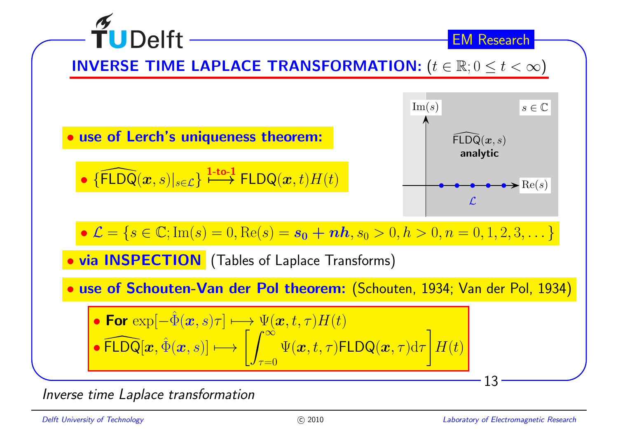![](_page_12_Figure_0.jpeg)

Inverse time Laplace transformation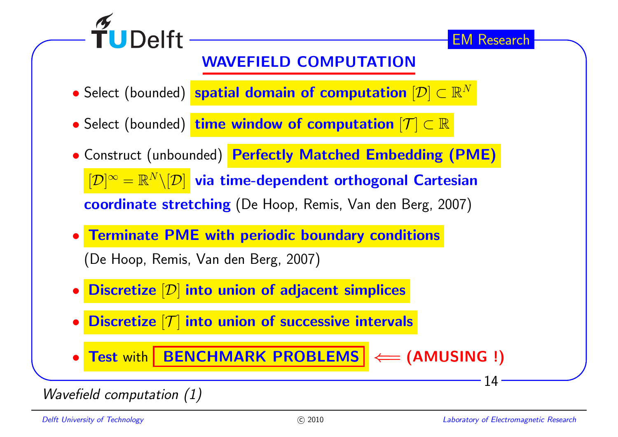![](_page_13_Picture_0.jpeg)

## WAVEFIELD COMPUTATION

- $\bullet$  Select (bounded) <mark>spatial domain of computation  $[\mathcal{D}]\subset\mathbb{R}^N$ </mark>
- Select (bounded) <mark>time window of computation</mark>  $[{\mathcal T}] \subset \mathbb{R}$
- ∙ Construct (unbounded) Perfectly Matched Embedding (PME)  $[{\mathcal D}]^\infty=\mathbb{R}^N\backslash [{\mathcal D}]$  via time-dependent orthogonal Cartesian <mark>coordinate stretching</mark> (De Hoop, Remis, Van den Berg, 2007)
- ∙Terminate PME with periodic boundary conditions

(De Hoop, Remis, Van den Berg, 2007)

- ∙ $\bullet$  Discretize  $[\mathcal{D}]$  into union of adjacent simplices
- ∙ $\bullet$  Discretize  $[\mathcal{T}]$  into union of successive intervals

∙ $\bullet$  Test with RENCHMARK PROBLEMS  $|\Longleftarrow$  (AMUSING !)

### Wavefield computation (1)

14

EM Research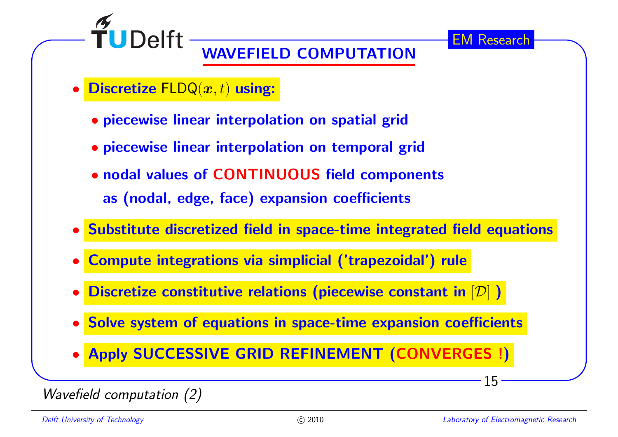![](_page_14_Picture_1.jpeg)

# WAVEFIELD COMPUTATION

- ∙ $\bullet$  Discretize  $\mathsf{FLDQ}(\bm{x},t)$  using:
	- ∙ piecewise linear interpolation on spatial grid
	- ∙ piecewise linear interpolation on temporal grid
	- ∙ nodal values of CONTINUOUS field components as (nodal, edge, face) expansion coefficients
- ∙ Substitute discretized field in space-time integrated field equations
- ∙Compute integrations via simplicial ('trapezoidal') rule
- ∙ $\bullet$  Discretize constitutive relations (piecewise constant in  $[\mathcal{D}]$  )
- ∙Solve system of equations in space-time expansion coefficients
- ∙Apply SUCCESSIVE GRID REFINEMENT (CONVERGES !)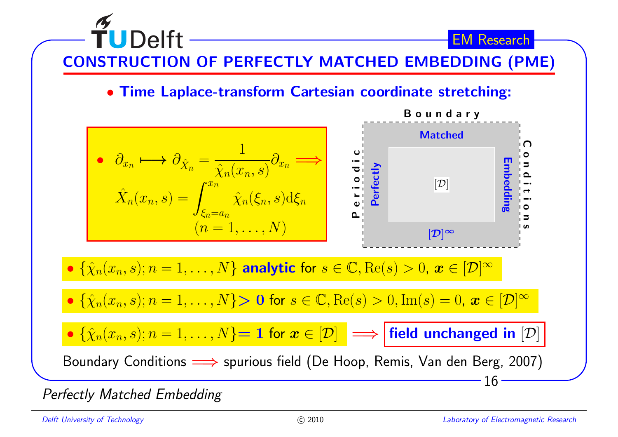![](_page_15_Figure_0.jpeg)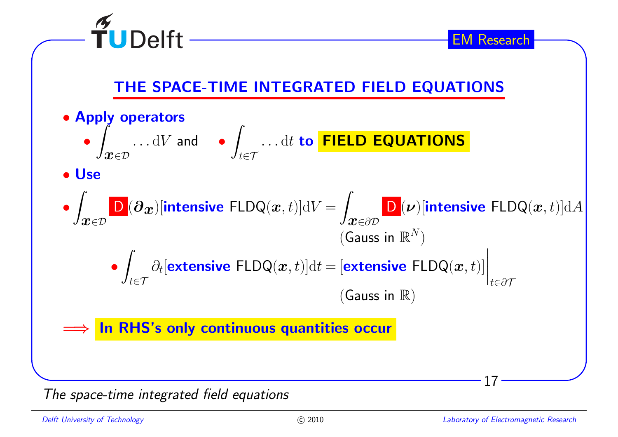![](_page_16_Figure_0.jpeg)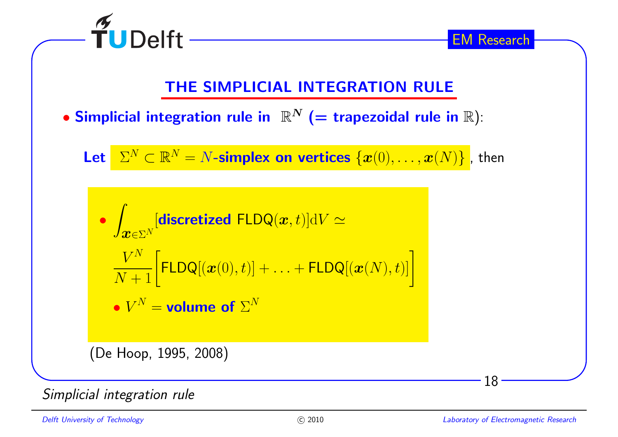![](_page_17_Figure_0.jpeg)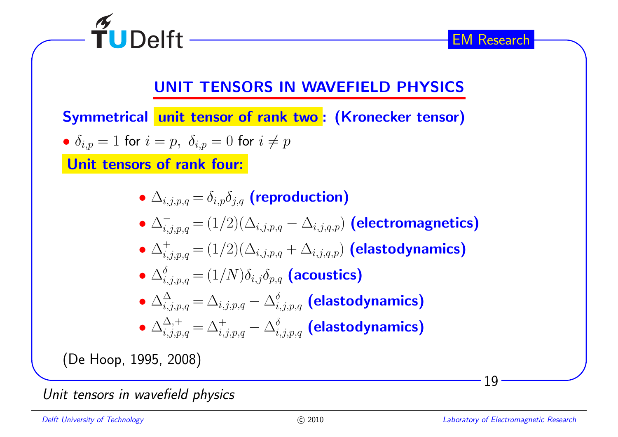![](_page_18_Figure_0.jpeg)

Unit tensors in wavefield <sup>p</sup>hysics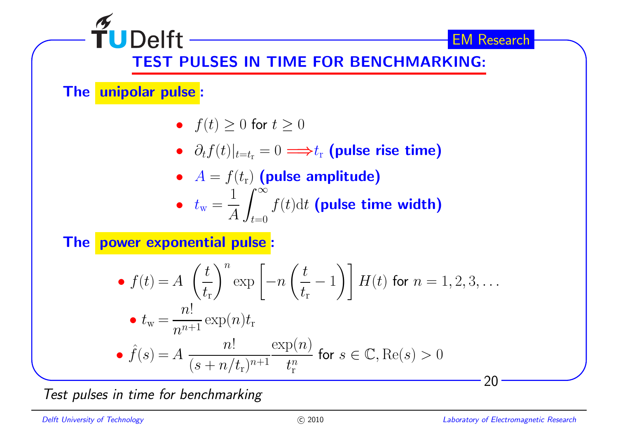![](_page_19_Figure_0.jpeg)

Test pulses in time for benchmarking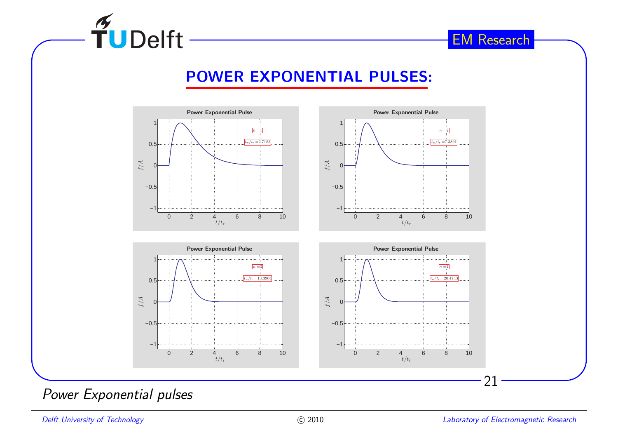![](_page_20_Picture_0.jpeg)

### POWER EXPONENTIAL PULSES:

![](_page_20_Figure_3.jpeg)

#### Power Exponential pulses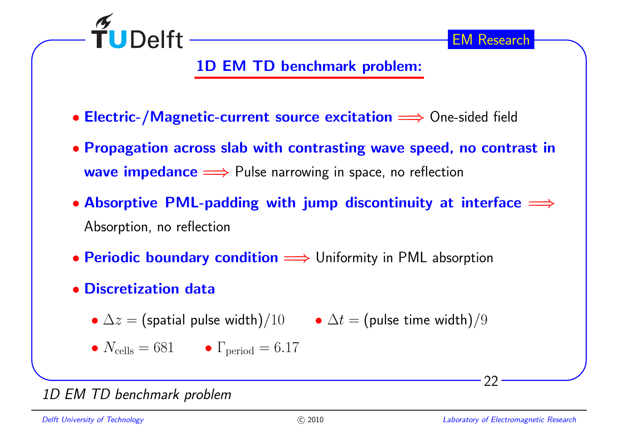![](_page_21_Picture_0.jpeg)

## 1D EM TD benchmark problem:

- Electric-/Magnetic-current source excitation = > One-sided field
- ∙ Propagation across slab with contrasting wave speed, no contrast in $\textsf{wave impedance} \Longrightarrow \textsf{Pulse} \text{ narrower in space, no reflection}$
- $\bullet$  Absorptive PML-padding with jump discontinuity at interface  $\Longrightarrow$ Absorption, no reflection
- Periodic boundary condition = > Uniformity in PML absorption
- ∙ Discretization data
	- $\bullet$   $\Delta z =$  (spatial pulse width)/ $10$   $\bullet$   $\Delta t =$  (pulse time width)/ $9$
	- $\bullet$   $N_{\text{cells}} = 681$   $\bullet$   $\Gamma_{\text{period}} = 6.17$

#### 1D EM TD benchmark problem

22

EM Research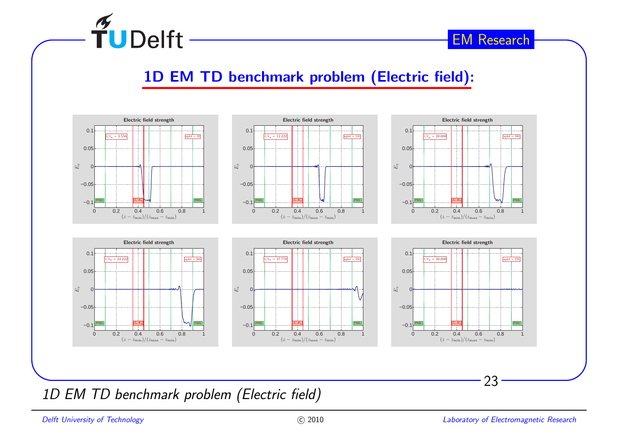![](_page_22_Picture_0.jpeg)

### 1D EM TD benchmark problem (Electric field):

![](_page_22_Figure_3.jpeg)

1D EM TD benchmark problem (Electric field)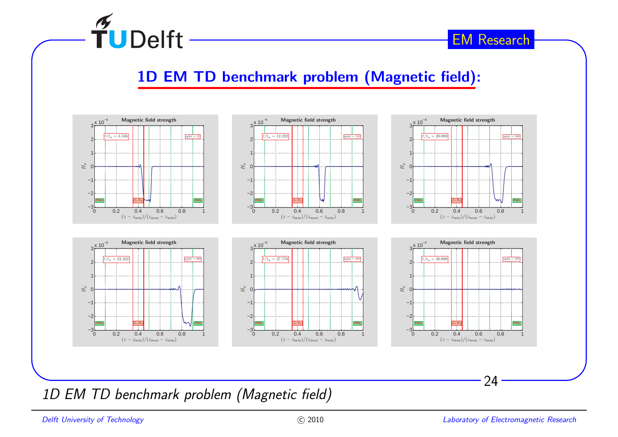![](_page_23_Picture_0.jpeg)

### 1D EM TD benchmark problem (Magnetic field):

![](_page_23_Figure_3.jpeg)

1D EM TD benchmark problem (Magnetic field)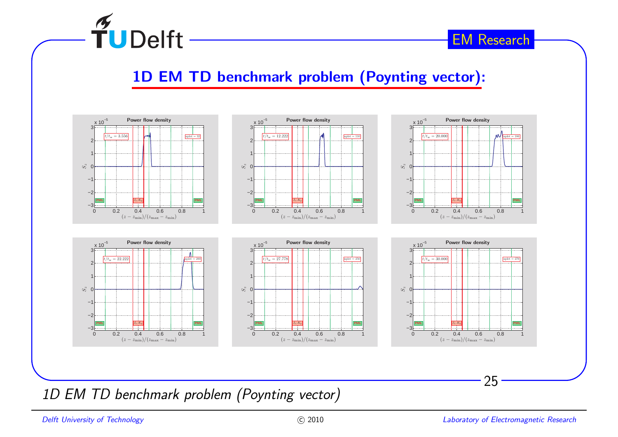![](_page_24_Picture_0.jpeg)

### 1D EM TD benchmark problem (Poynting vector):

![](_page_24_Figure_3.jpeg)

1D EM TD benchmark problem (Poynting vector)